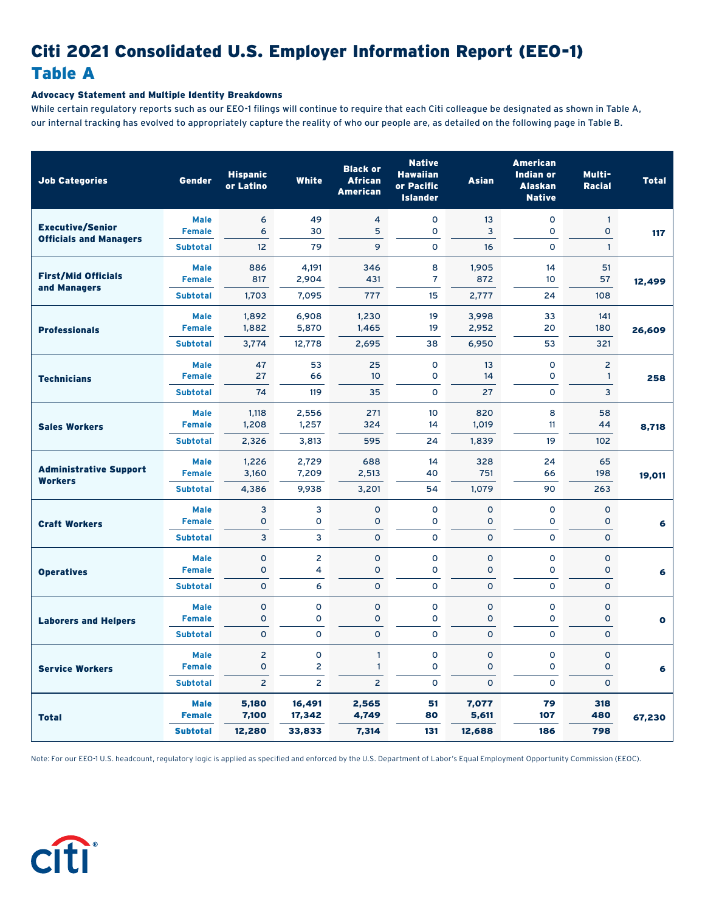## Citi 2021 Consolidated U.S. Employer Information Report (EEO-1) Table A

## Advocacy Statement and Multiple Identity Breakdowns

While certain regulatory reports such as our EEO-1 filings will continue to require that each Citi colleague be designated as shown in Table A, our internal tracking has evolved to appropriately capture the reality of who our people are, as detailed on the following page in Table B.

| <b>Job Categories</b>                                    | <b>Gender</b>                | <b>Hispanic</b><br>or Latino | <b>White</b>     | <b>Black or</b><br><b>African</b><br><b>American</b> | <b>Native</b><br><b>Hawaiian</b><br>or Pacific<br><b>Islander</b> | <b>Asian</b>     | <b>American</b><br><b>Indian or</b><br><b>Alaskan</b><br><b>Native</b> | Multi-<br><b>Racial</b> | <b>Total</b> |
|----------------------------------------------------------|------------------------------|------------------------------|------------------|------------------------------------------------------|-------------------------------------------------------------------|------------------|------------------------------------------------------------------------|-------------------------|--------------|
| <b>Executive/Senior</b><br><b>Officials and Managers</b> | <b>Male</b>                  | 6                            | 49               | $\overline{4}$                                       | $\mathsf{o}$                                                      | 13               | $\circ$                                                                | $\mathbf{1}$            | 117          |
|                                                          | <b>Female</b>                | 6                            | 30               | 5                                                    | O                                                                 | 3                | $\circ$                                                                | $\mathsf{o}$            |              |
|                                                          | <b>Subtotal</b>              | 12                           | 79               | 9                                                    | $\overline{O}$                                                    | 16 <sup>16</sup> | $\Omega$                                                               | $\mathbf{1}$            |              |
| <b>First/Mid Officials</b><br>and Managers               | <b>Male</b>                  | 886                          | 4.191            | 346                                                  | 8                                                                 | 1.905            | 14                                                                     | 51                      | 12,499       |
|                                                          | <b>Female</b>                | 817                          | 2,904            | 431                                                  | 7                                                                 | 872              | 10                                                                     | 57                      |              |
|                                                          | <b>Subtotal</b>              | 1.703                        | 7.095            | 777                                                  | 15                                                                | 2,777            | 24                                                                     | 108                     |              |
|                                                          | <b>Male</b>                  | 1,892                        | 6,908            | 1,230                                                | 19                                                                | 3,998            | 33                                                                     | 141                     | 26,609       |
| <b>Professionals</b>                                     | <b>Female</b>                | 1,882                        | 5,870            | 1,465                                                | 19                                                                | 2,952            | 20                                                                     | 180                     |              |
|                                                          | <b>Subtotal</b>              | 3,774                        | 12,778           | 2,695                                                | 38                                                                | 6,950            | 53                                                                     | 321                     |              |
|                                                          | <b>Male</b>                  | 47                           | 53               | 25                                                   | $\circ$                                                           | 13 <sup>°</sup>  | $\circ$                                                                | $\overline{2}$          | 258          |
| <b>Technicians</b>                                       | <b>Female</b>                | 27                           | 66               | 10 <sup>10</sup>                                     | $\mathsf{o}$                                                      | 14               | $\circ$                                                                | $\mathbf{1}$            |              |
|                                                          | <b>Subtotal</b>              | 74                           | 119              | 35                                                   | $\circ$                                                           | 27               | $\circ$                                                                | 3                       |              |
| <b>Sales Workers</b>                                     | <b>Male</b>                  | 1,118                        | 2,556            | 271                                                  | 10                                                                | 820              | 8                                                                      | 58                      | 8,718        |
|                                                          | <b>Female</b>                | 1,208                        | 1,257            | 324                                                  | 14                                                                | 1,019            | 11                                                                     | 44                      |              |
|                                                          | <b>Subtotal</b>              | 2,326                        | 3,813            | 595                                                  | 24                                                                | 1,839            | 19                                                                     | 102                     |              |
| <b>Administrative Support</b><br><b>Workers</b>          | <b>Male</b>                  | 1,226                        | 2,729            | 688                                                  | 14                                                                | 328              | 24                                                                     | 65                      | 19,011       |
|                                                          | <b>Female</b>                | 3,160                        | 7,209            | 2,513                                                | 40                                                                | 751              | 66                                                                     | 198                     |              |
|                                                          | <b>Subtotal</b>              | 4,386                        | 9,938            | 3,201                                                | 54                                                                | 1,079            | 90                                                                     | 263                     |              |
|                                                          | <b>Male</b>                  | 3                            | 3                | $\mathsf{o}$                                         | $\mathsf{o}$                                                      | $\circ$          | $\circ$                                                                | $\circ$                 | 6            |
| <b>Craft Workers</b>                                     | <b>Female</b>                | o                            | o                | о                                                    | O                                                                 | O                | $\circ$                                                                | $\circ$                 |              |
|                                                          | <b>Subtotal</b>              | 3                            | 3                | $\overline{O}$                                       | Ō                                                                 | $\Omega$         | $\Omega$                                                               | $\Omega$                |              |
| <b>Operatives</b>                                        | <b>Male</b>                  | $\circ$                      | $\overline{2}$   | $\overline{O}$                                       | O                                                                 | $\circ$          | $\circ$                                                                | $\circ$                 |              |
|                                                          | <b>Female</b>                | o                            | 4                | 0                                                    | 0                                                                 | $\circ$          | $\circ$                                                                | $\circ$                 | 6            |
|                                                          | <b>Subtotal</b>              | $\circ$                      | 6                | $\Omega$                                             | 0                                                                 | $\Omega$         | $\Omega$                                                               | $\mathbf{o}$            |              |
| <b>Laborers and Helpers</b>                              | <b>Male</b>                  | $\mathsf{o}$                 | $\mathbf 0$      | 0                                                    | $\overline{O}$                                                    | $\circ$          | $\circ$                                                                | $\mathsf{o}$            |              |
|                                                          | <b>Female</b>                | 0                            | 0                | 0                                                    | 0                                                                 | $\circ$          | $\circ$                                                                | $\mathsf O$             | $\bullet$    |
|                                                          | <b>Subtotal</b>              | $\mathsf{o}$                 | $\mathsf{o}$     | $\mathsf{o}$                                         | $\mathsf{o}$                                                      | $\Omega$         | $\mathbf{o}$                                                           | $\circ$                 |              |
| <b>Service Workers</b>                                   | <b>Male</b>                  | $\overline{2}$               | $\circ$          | $\mathbf{1}$                                         | $\overline{O}$                                                    | $\circ$          | $\circ$                                                                | $\circ$                 |              |
|                                                          | <b>Female</b>                | 0                            | $\overline{2}$   | 1                                                    | 0                                                                 | $\circ$          | $\circ$                                                                | $\circ$                 | 6            |
|                                                          | <b>Subtotal</b>              | $\overline{2}$               | $\overline{2}$   | $\overline{2}$                                       | $\mathsf{o}$                                                      | $\circ$          | $\circ$                                                                | $\circ$                 |              |
| <b>Total</b>                                             | <b>Male</b><br><b>Female</b> | 5,180<br>7.100               | 16,491<br>17,342 | 2,565<br>4,749                                       | 51<br>80                                                          | 7,077<br>5,611   | 79<br>107                                                              | 318<br>480              | 67,230       |
|                                                          | <b>Subtotal</b>              | 12,280                       | 33,833           | 7,314                                                | 131                                                               | 12,688           | 186                                                                    | 798                     |              |

Note: For our EEO-1 U.S. headcount, regulatory logic is applied as specified and enforced by the U.S. Department of Labor's Equal Employment Opportunity Commission (EEOC).